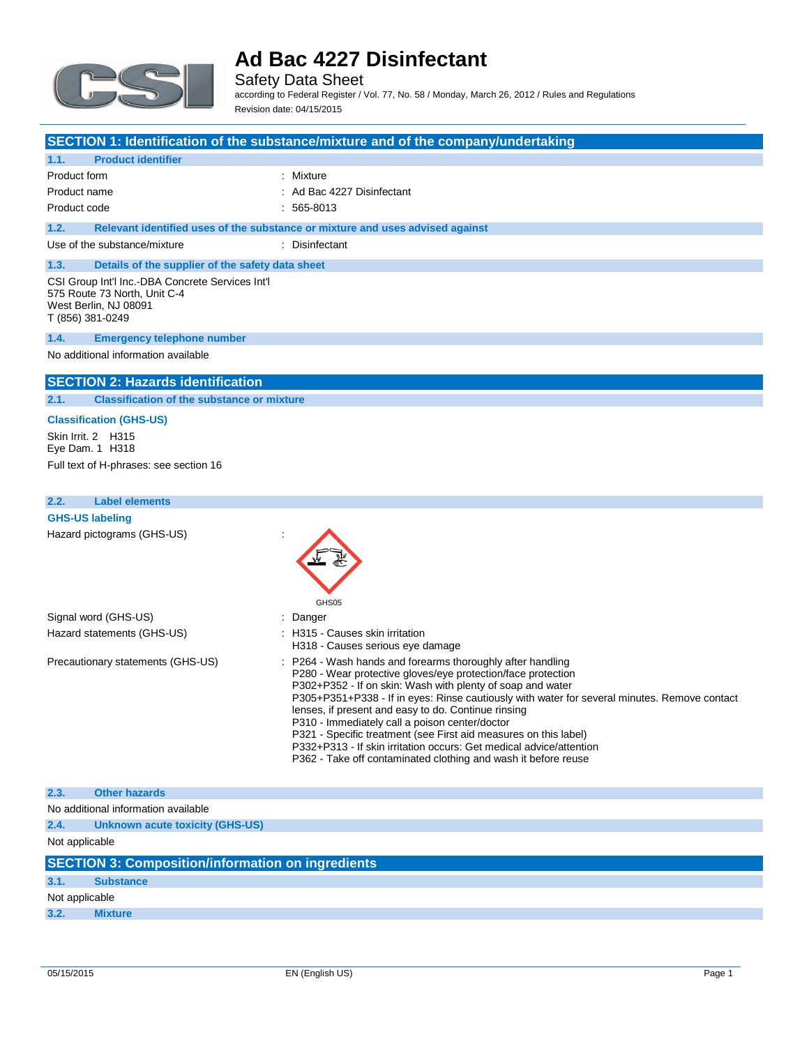

Safety Data Sheet according to Federal Register / Vol. 77, No. 58 / Monday, March 26, 2012 / Rules and Regulations Revision date: 04/15/2015

## **SECTION 1: Identification of the substance/mixture and of the company/undertaking**

| <b>Product identifier</b><br>1.1.                                                                                             |                                                                               |  |
|-------------------------------------------------------------------------------------------------------------------------------|-------------------------------------------------------------------------------|--|
| Product form                                                                                                                  | : Mixture                                                                     |  |
| Product name                                                                                                                  | : Ad Bac 4227 Disinfectant                                                    |  |
| Product code                                                                                                                  | $: 565-8013$                                                                  |  |
| 1.2.                                                                                                                          | Relevant identified uses of the substance or mixture and uses advised against |  |
| Use of the substance/mixture                                                                                                  | : Disinfectant                                                                |  |
| 1.3.<br>Details of the supplier of the safety data sheet                                                                      |                                                                               |  |
| CSI Group Int'l Inc.-DBA Concrete Services Int'l<br>575 Route 73 North, Unit C-4<br>West Berlin, NJ 08091<br>T (856) 381-0249 |                                                                               |  |
| <b>Emergency telephone number</b><br>1.4.                                                                                     |                                                                               |  |
| No additional information available                                                                                           |                                                                               |  |

## **SECTION 2: Hazards identification**

**2.1. Classification of the substance or mixture**

#### **Classification (GHS-US)**

Skin Irrit. 2 H315 Eye Dam. 1 H318 Full text of H-phrases: see section 16

| 2.2. | <b>Label elements</b>               |                                                                                                                                                                                                                                                                                                                                                                                                                                                                                                                                                                                                                |
|------|-------------------------------------|----------------------------------------------------------------------------------------------------------------------------------------------------------------------------------------------------------------------------------------------------------------------------------------------------------------------------------------------------------------------------------------------------------------------------------------------------------------------------------------------------------------------------------------------------------------------------------------------------------------|
|      | <b>GHS-US labeling</b>              |                                                                                                                                                                                                                                                                                                                                                                                                                                                                                                                                                                                                                |
|      | Hazard pictograms (GHS-US)          | GHS05                                                                                                                                                                                                                                                                                                                                                                                                                                                                                                                                                                                                          |
|      | Signal word (GHS-US)                | : Danger                                                                                                                                                                                                                                                                                                                                                                                                                                                                                                                                                                                                       |
|      | Hazard statements (GHS-US)          | : H315 - Causes skin irritation<br>H318 - Causes serious eye damage                                                                                                                                                                                                                                                                                                                                                                                                                                                                                                                                            |
|      | Precautionary statements (GHS-US)   | : P264 - Wash hands and forearms thoroughly after handling<br>P280 - Wear protective gloves/eye protection/face protection<br>P302+P352 - If on skin: Wash with plenty of soap and water<br>P305+P351+P338 - If in eyes: Rinse cautiously with water for several minutes. Remove contact<br>lenses, if present and easy to do. Continue rinsing<br>P310 - Immediately call a poison center/doctor<br>P321 - Specific treatment (see First aid measures on this label)<br>P332+P313 - If skin irritation occurs: Get medical advice/attention<br>P362 - Take off contaminated clothing and wash it before reuse |
| 2.3. | <b>Other hazards</b>                |                                                                                                                                                                                                                                                                                                                                                                                                                                                                                                                                                                                                                |
|      | No additional information available |                                                                                                                                                                                                                                                                                                                                                                                                                                                                                                                                                                                                                |
| 2.4. | Unknown acute toxicity (GHS-US)     |                                                                                                                                                                                                                                                                                                                                                                                                                                                                                                                                                                                                                |
|      |                                     |                                                                                                                                                                                                                                                                                                                                                                                                                                                                                                                                                                                                                |

Not applicable

|                | <b>SECTION 3: Composition/information on ingredients</b> |  |  |
|----------------|----------------------------------------------------------|--|--|
| 3.1.           | <b>Substance</b>                                         |  |  |
| Not applicable |                                                          |  |  |
| 3.2.           | <b>Mixture</b>                                           |  |  |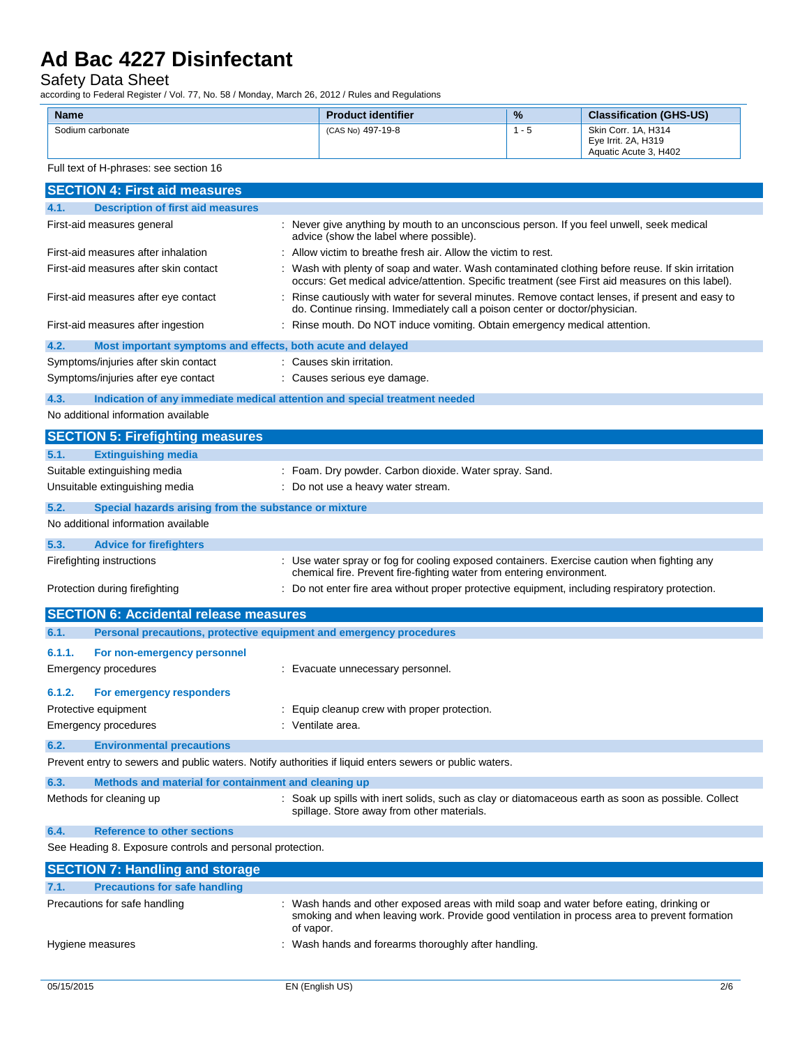#### Safety Data Sheet

according to Federal Register / Vol. 77, No. 58 / Monday, March 26, 2012 / Rules and Regulations

| <b>Name</b>      | <b>Product identifier</b> | $\frac{9}{6}$ | <b>Classification (GHS-US)</b>                                      |
|------------------|---------------------------|---------------|---------------------------------------------------------------------|
| Sodium carbonate | (CAS No) 497-19-8         | - 5           | Skin Corr. 1A. H314<br>Eve Irrit, 2A, H319<br>Aquatic Acute 3. H402 |

Full text of H-phrases: see section 16

| <b>SECTION 4: First aid measures</b>                                                                    |                                                                                                                                                                                                     |  |  |
|---------------------------------------------------------------------------------------------------------|-----------------------------------------------------------------------------------------------------------------------------------------------------------------------------------------------------|--|--|
| 4.1.<br><b>Description of first aid measures</b>                                                        |                                                                                                                                                                                                     |  |  |
| First-aid measures general                                                                              | : Never give anything by mouth to an unconscious person. If you feel unwell, seek medical<br>advice (show the label where possible).                                                                |  |  |
| First-aid measures after inhalation                                                                     | Allow victim to breathe fresh air. Allow the victim to rest.                                                                                                                                        |  |  |
| First-aid measures after skin contact                                                                   | Wash with plenty of soap and water. Wash contaminated clothing before reuse. If skin irritation<br>occurs: Get medical advice/attention. Specific treatment (see First aid measures on this label). |  |  |
| First-aid measures after eye contact                                                                    | : Rinse cautiously with water for several minutes. Remove contact lenses, if present and easy to<br>do. Continue rinsing. Immediately call a poison center or doctor/physician.                     |  |  |
| First-aid measures after ingestion                                                                      | : Rinse mouth. Do NOT induce vomiting. Obtain emergency medical attention.                                                                                                                          |  |  |
| 4.2.<br>Most important symptoms and effects, both acute and delayed                                     |                                                                                                                                                                                                     |  |  |
| Symptoms/injuries after skin contact                                                                    | : Causes skin irritation.                                                                                                                                                                           |  |  |
| Symptoms/injuries after eye contact                                                                     | : Causes serious eye damage.                                                                                                                                                                        |  |  |
| 4.3.<br>Indication of any immediate medical attention and special treatment needed                      |                                                                                                                                                                                                     |  |  |
| No additional information available                                                                     |                                                                                                                                                                                                     |  |  |
| <b>SECTION 5: Firefighting measures</b>                                                                 |                                                                                                                                                                                                     |  |  |
| <b>Extinguishing media</b><br>5.1.                                                                      |                                                                                                                                                                                                     |  |  |
| Suitable extinguishing media                                                                            | : Foam. Dry powder. Carbon dioxide. Water spray. Sand.                                                                                                                                              |  |  |
| Unsuitable extinguishing media                                                                          | : Do not use a heavy water stream.                                                                                                                                                                  |  |  |
| 5.2.<br>Special hazards arising from the substance or mixture                                           |                                                                                                                                                                                                     |  |  |
| No additional information available                                                                     |                                                                                                                                                                                                     |  |  |
| 5.3.<br><b>Advice for firefighters</b>                                                                  |                                                                                                                                                                                                     |  |  |
| Firefighting instructions                                                                               | : Use water spray or fog for cooling exposed containers. Exercise caution when fighting any<br>chemical fire. Prevent fire-fighting water from entering environment.                                |  |  |
| Protection during firefighting                                                                          | : Do not enter fire area without proper protective equipment, including respiratory protection.                                                                                                     |  |  |
| <b>SECTION 6: Accidental release measures</b>                                                           |                                                                                                                                                                                                     |  |  |
| 6.1.<br>Personal precautions, protective equipment and emergency procedures                             |                                                                                                                                                                                                     |  |  |
| 6.1.1.<br>For non-emergency personnel                                                                   |                                                                                                                                                                                                     |  |  |
| Emergency procedures                                                                                    | : Evacuate unnecessary personnel.                                                                                                                                                                   |  |  |
| 6.1.2.<br>For emergency responders                                                                      |                                                                                                                                                                                                     |  |  |
| Protective equipment                                                                                    | : Equip cleanup crew with proper protection.                                                                                                                                                        |  |  |
| <b>Emergency procedures</b>                                                                             | : Ventilate area.                                                                                                                                                                                   |  |  |
| 6.2.<br><b>Environmental precautions</b>                                                                |                                                                                                                                                                                                     |  |  |
| Prevent entry to sewers and public waters. Notify authorities if liquid enters sewers or public waters. |                                                                                                                                                                                                     |  |  |
| 6.3.<br>Methods and material for containment and cleaning up                                            |                                                                                                                                                                                                     |  |  |
| Methods for cleaning up                                                                                 | : Soak up spills with inert solids, such as clay or diatomaceous earth as soon as possible. Collect<br>spillage. Store away from other materials.                                                   |  |  |
| <b>Reference to other sections</b><br>6.4.                                                              |                                                                                                                                                                                                     |  |  |
| See Heading 8. Exposure controls and personal protection.                                               |                                                                                                                                                                                                     |  |  |
| <b>SECTION 7: Handling and storage</b>                                                                  |                                                                                                                                                                                                     |  |  |
| <b>Precautions for safe handling</b><br>7.1.                                                            |                                                                                                                                                                                                     |  |  |
| Precautions for safe handling                                                                           | : Wash hands and other exposed areas with mild soap and water before eating, drinking or                                                                                                            |  |  |
|                                                                                                         | smoking and when leaving work. Provide good ventilation in process area to prevent formation<br>of vapor.                                                                                           |  |  |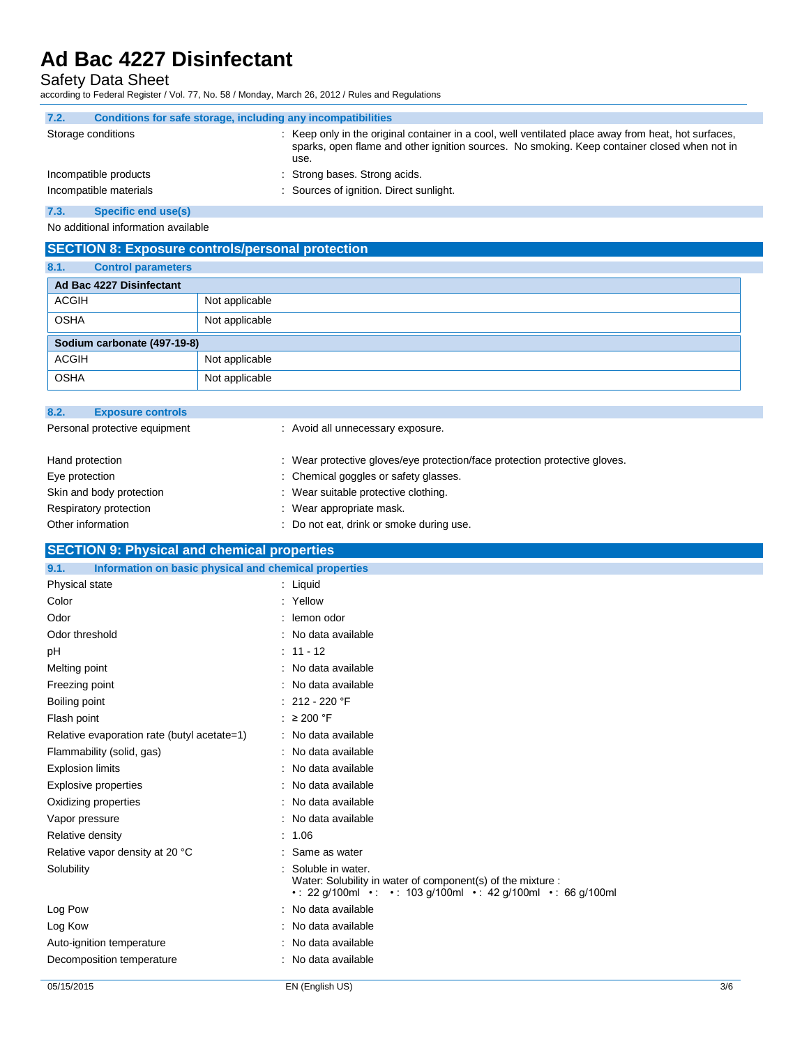Safety Data Sheet

according to Federal Register / Vol. 77, No. 58 / Monday, March 26, 2012 / Rules and Regulations

| 7.2. | Conditions for safe storage, including any incompatibilities |                                                                                                                                                                                                              |
|------|--------------------------------------------------------------|--------------------------------------------------------------------------------------------------------------------------------------------------------------------------------------------------------------|
|      | Storage conditions                                           | : Keep only in the original container in a cool, well ventilated place away from heat, hot surfaces,<br>sparks, open flame and other ignition sources. No smoking. Keep container closed when not in<br>use. |
|      | Incompatible products                                        | : Strong bases. Strong acids.                                                                                                                                                                                |
|      | Incompatible materials                                       | : Sources of ignition. Direct sunlight.                                                                                                                                                                      |

**7.3. Specific end use(s)**

No additional information available

| <b>SECTION 8: Exposure controls/personal protection</b> |                           |                |  |
|---------------------------------------------------------|---------------------------|----------------|--|
| 8.1.                                                    | <b>Control parameters</b> |                |  |
|                                                         | Ad Bac 4227 Disinfectant  |                |  |
| <b>ACGIH</b>                                            |                           | Not applicable |  |
| <b>OSHA</b>                                             |                           | Not applicable |  |
| Sodium carbonate (497-19-8)                             |                           |                |  |
| <b>ACGIH</b>                                            |                           | Not applicable |  |
| <b>OSHA</b>                                             |                           | Not applicable |  |

## **SECTION 9: Physical and chemical properties**

| Information on basic physical and chemical properties<br>9.1. |                                                                                                                                                      |
|---------------------------------------------------------------|------------------------------------------------------------------------------------------------------------------------------------------------------|
| Physical state                                                | $:$ Liquid                                                                                                                                           |
| Color                                                         | : Yellow                                                                                                                                             |
| Odor                                                          | lemon odor<br>٠                                                                                                                                      |
| Odor threshold                                                | : No data available                                                                                                                                  |
| pH                                                            | $: 11 - 12$                                                                                                                                          |
| Melting point                                                 | : No data available                                                                                                                                  |
| Freezing point                                                | : No data available                                                                                                                                  |
| Boiling point                                                 | $: 212 - 220$ °F                                                                                                                                     |
| Flash point                                                   | $: \geq 200$ °F                                                                                                                                      |
| Relative evaporation rate (butyl acetate=1)                   | : No data available                                                                                                                                  |
| Flammability (solid, gas)                                     | : No data available                                                                                                                                  |
| <b>Explosion limits</b>                                       | : No data available                                                                                                                                  |
| <b>Explosive properties</b>                                   | No data available<br>÷                                                                                                                               |
| Oxidizing properties                                          | : No data available                                                                                                                                  |
| Vapor pressure                                                | No data available<br>٠                                                                                                                               |
| Relative density                                              | : 1.06                                                                                                                                               |
| Relative vapor density at 20 °C                               | Same as water<br>$\bullet$                                                                                                                           |
| Solubility                                                    | Soluble in water.<br>Water: Solubility in water of component(s) of the mixture :<br>• : 22 g/100ml • : • : 103 g/100ml • : 42 g/100ml • : 66 g/100ml |
| Log Pow                                                       | : No data available                                                                                                                                  |
| Log Kow                                                       | No data available                                                                                                                                    |
| Auto-ignition temperature                                     | No data available                                                                                                                                    |
| Decomposition temperature                                     | No data available<br>÷                                                                                                                               |
|                                                               |                                                                                                                                                      |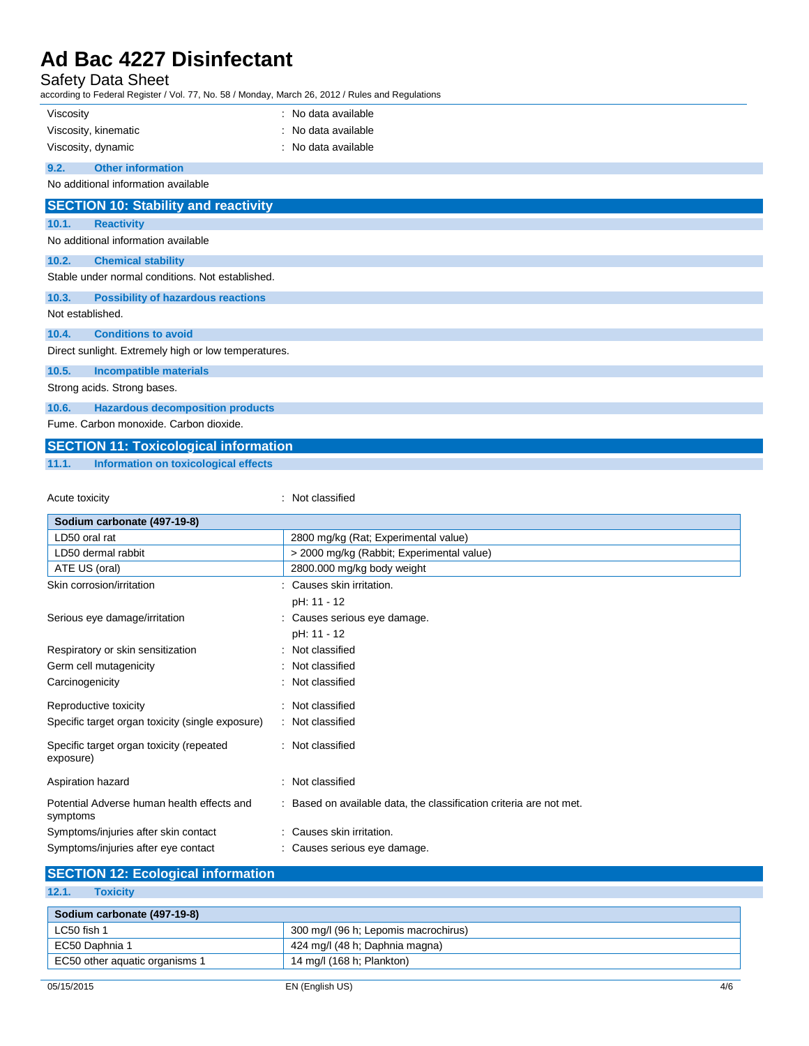### Safety Data Sheet

according to Federal Register / Vol. 77, No. 58 / Monday, March 26, 2012 / Rules and Regulations

| Viscosity                                        |                                                      | : No data available |  |
|--------------------------------------------------|------------------------------------------------------|---------------------|--|
|                                                  | Viscosity, kinematic                                 | : No data available |  |
|                                                  | Viscosity, dynamic                                   | : No data available |  |
| 9.2.                                             | <b>Other information</b>                             |                     |  |
|                                                  | No additional information available                  |                     |  |
|                                                  | <b>SECTION 10: Stability and reactivity</b>          |                     |  |
| 10.1.                                            | <b>Reactivity</b>                                    |                     |  |
|                                                  | No additional information available                  |                     |  |
| 10.2.                                            | <b>Chemical stability</b>                            |                     |  |
| Stable under normal conditions. Not established. |                                                      |                     |  |
| 10.3.                                            | <b>Possibility of hazardous reactions</b>            |                     |  |
| Not established.                                 |                                                      |                     |  |
| 10.4.                                            | <b>Conditions to avoid</b>                           |                     |  |
|                                                  | Direct sunlight. Extremely high or low temperatures. |                     |  |
| 10.5.                                            | <b>Incompatible materials</b>                        |                     |  |
| Strong acids. Strong bases.                      |                                                      |                     |  |
| 10.6.                                            | <b>Hazardous decomposition products</b>              |                     |  |
|                                                  | Fume, Carbon monoxide, Carbon dioxide.               |                     |  |
|                                                  | <b>SECTION 11: Toxicological information</b>         |                     |  |

**11.1. Information on toxicological effects**

Acute toxicity **in the case of the contract of the case of the contract of the contract of the contract of the contract of the contract of the contract of the contract of the contract of the contract of the contract of the** 

| 2800 mg/kg (Rat; Experimental value)                                |
|---------------------------------------------------------------------|
| > 2000 mg/kg (Rabbit; Experimental value)                           |
| 2800.000 mg/kg body weight                                          |
| : Causes skin irritation.                                           |
| pH: 11 - 12                                                         |
| : Causes serious eye damage.                                        |
| pH: 11 - 12                                                         |
| : Not classified                                                    |
| : Not classified                                                    |
| : Not classified                                                    |
| : Not classified                                                    |
| : Not classified                                                    |
| : Not classified                                                    |
| : Not classified                                                    |
| : Based on available data, the classification criteria are not met. |
| : Causes skin irritation.                                           |
| : Causes serious eye damage.                                        |
|                                                                     |

### **SECTION 12: Ecological information**

**12.1. Toxicity**

| Sodium carbonate (497-19-8)    |                                      |
|--------------------------------|--------------------------------------|
| LC50 fish 1                    | 300 mg/l (96 h; Lepomis macrochirus) |
| EC50 Daphnia 1                 | 424 mg/l (48 h; Daphnia magna)       |
| EC50 other aquatic organisms 1 | 14 mg/l (168 h; Plankton)            |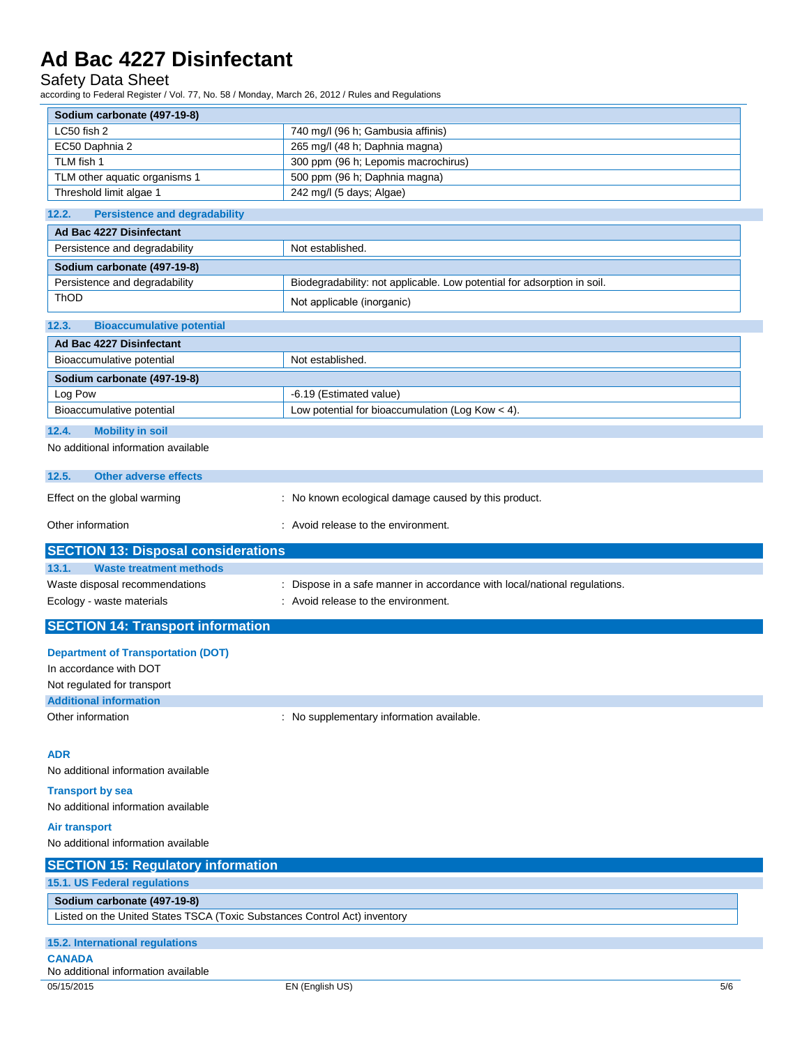Safety Data Sheet

according to Federal Register / Vol. 77, No. 58 / Monday, March 26, 2012 / Rules and Regulations

| Sodium carbonate (497-19-8)                                               |                                                                           |  |
|---------------------------------------------------------------------------|---------------------------------------------------------------------------|--|
| LC50 fish 2                                                               | 740 mg/l (96 h; Gambusia affinis)                                         |  |
| EC50 Daphnia 2                                                            | 265 mg/l (48 h; Daphnia magna)                                            |  |
| TLM fish 1                                                                | 300 ppm (96 h; Lepomis macrochirus)                                       |  |
| TLM other aquatic organisms 1                                             | 500 ppm (96 h; Daphnia magna)                                             |  |
| Threshold limit algae 1                                                   | 242 mg/l (5 days; Algae)                                                  |  |
| 12.2.<br><b>Persistence and degradability</b>                             |                                                                           |  |
| Ad Bac 4227 Disinfectant                                                  |                                                                           |  |
| Persistence and degradability                                             | Not established.                                                          |  |
| Sodium carbonate (497-19-8)                                               |                                                                           |  |
| Persistence and degradability                                             | Biodegradability: not applicable. Low potential for adsorption in soil.   |  |
| <b>ThOD</b>                                                               | Not applicable (inorganic)                                                |  |
| 12.3.<br><b>Bioaccumulative potential</b>                                 |                                                                           |  |
| Ad Bac 4227 Disinfectant                                                  |                                                                           |  |
| Bioaccumulative potential                                                 | Not established.                                                          |  |
| Sodium carbonate (497-19-8)                                               |                                                                           |  |
| Log Pow                                                                   | -6.19 (Estimated value)                                                   |  |
| Bioaccumulative potential                                                 | Low potential for bioaccumulation (Log Kow < 4).                          |  |
|                                                                           |                                                                           |  |
| 12.4.<br><b>Mobility in soil</b><br>No additional information available   |                                                                           |  |
|                                                                           |                                                                           |  |
| 12.5.<br><b>Other adverse effects</b>                                     |                                                                           |  |
| Effect on the global warming                                              | : No known ecological damage caused by this product.                      |  |
| Other information                                                         | : Avoid release to the environment.                                       |  |
|                                                                           |                                                                           |  |
| <b>SECTION 13: Disposal considerations</b>                                |                                                                           |  |
|                                                                           |                                                                           |  |
| 13.1.<br><b>Waste treatment methods</b>                                   |                                                                           |  |
| Waste disposal recommendations                                            | : Dispose in a safe manner in accordance with local/national regulations. |  |
| Ecology - waste materials                                                 | : Avoid release to the environment.                                       |  |
| <b>SECTION 14: Transport information</b>                                  |                                                                           |  |
|                                                                           |                                                                           |  |
| <b>Department of Transportation (DOT)</b>                                 |                                                                           |  |
| In accordance with DOT                                                    |                                                                           |  |
| Not regulated for transport<br><b>Additional information</b>              |                                                                           |  |
| Other information                                                         | : No supplementary information available.                                 |  |
|                                                                           |                                                                           |  |
|                                                                           |                                                                           |  |
| <b>ADR</b>                                                                |                                                                           |  |
| No additional information available                                       |                                                                           |  |
| <b>Transport by sea</b>                                                   |                                                                           |  |
| No additional information available                                       |                                                                           |  |
| <b>Air transport</b>                                                      |                                                                           |  |
| No additional information available                                       |                                                                           |  |
| <b>SECTION 15: Regulatory information</b>                                 |                                                                           |  |
| 15.1. US Federal regulations                                              |                                                                           |  |
| Sodium carbonate (497-19-8)                                               |                                                                           |  |
| Listed on the United States TSCA (Toxic Substances Control Act) inventory |                                                                           |  |
|                                                                           |                                                                           |  |
| 15.2. International regulations<br><b>CANADA</b>                          |                                                                           |  |
| No additional information available                                       |                                                                           |  |